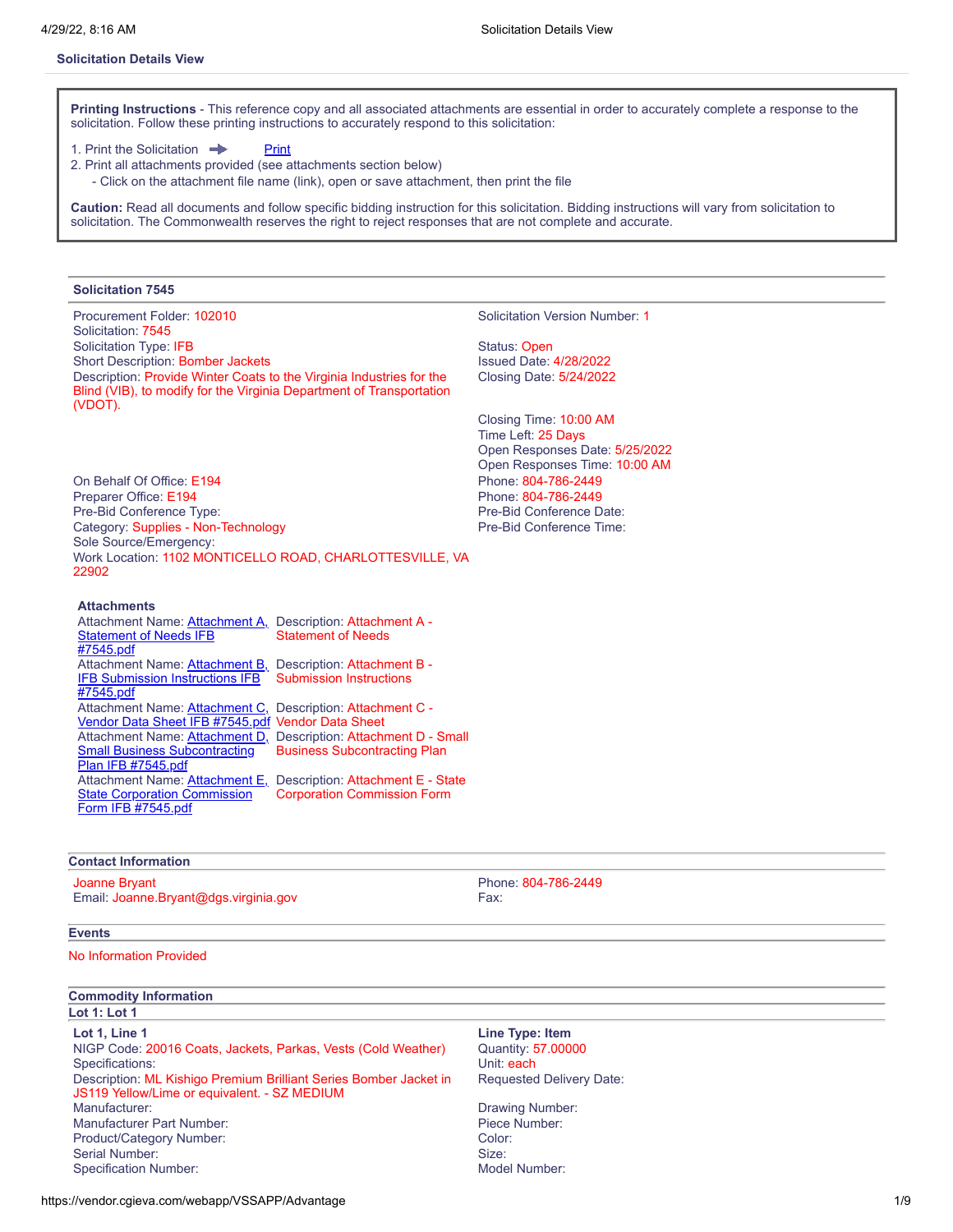#### **Solicitation Details View**

**Printing Instructions** - This reference copy and all associated attachments are essential in order to accurately complete a response to the solicitation. Follow these printing instructions to accurately respond to this solicitation:

1. [Print](javascript:window.print()) the Solicitation **Print** 

- 2. Print all attachments provided (see attachments section below)
	- Click on the attachment file name (link), open or save attachment, then print the file

**Caution:** Read all documents and follow specific bidding instruction for this solicitation. Bidding instructions will vary from solicitation to solicitation. The Commonwealth reserves the right to reject responses that are not complete and accurate.

#### **Solicitation 7545**

Procurement Folder: 102010 Solicitation Version Number: 1 Solicitation: 7545 Solicitation Type: IFB Solicitation Type: IFB Status: Open Short Description: Bomber Jackets **Issued Date: 4/28/2022** Description: Provide Winter Coats to the Virginia Industries for the Blind (VIB), to modify for the Virginia Department of Transportation (VDOT).

Closing Date: 5/24/2022

Closing Time: 10:00 AM Time Left: 25 Days Open Responses Date: 5/25/2022 Open Responses Time: 10:00 AM

On Behalf Of Office: E194 Phone: 804-786-2449 Preparer Office: E194 **Phone: 804-786-2449** Pre-Bid Conference Type: Pre-Bid Conference Date: Category: Supplies - Non-Technology **Pre-Bid Conference Time:** Pre-Bid Conference Time: Sole Source/Emergency: Work Location: 1102 MONTICELLO ROAD, CHARLOTTESVILLE, VA 22902

#### **Attachments**

| Attachment Name: Attachment A,                             | Description: Attachment A -                                      |
|------------------------------------------------------------|------------------------------------------------------------------|
| <b>Statement of Needs IFB</b>                              | <b>Statement of Needs</b>                                        |
| #7545.pdf                                                  |                                                                  |
| Attachment Name: Attachment B,                             | Description: Attachment B -                                      |
| <b>IFB Submission Instructions IFB</b>                     | <b>Submission Instructions</b>                                   |
| #7545.pdf                                                  |                                                                  |
| Attachment Name: Attachment C, Description: Attachment C - |                                                                  |
| Vendor Data Sheet IFB #7545.pdf Vendor Data Sheet          |                                                                  |
|                                                            | Attachment Name: Attachment D, Description: Attachment D - Small |
| <b>Small Business Subcontracting</b>                       | <b>Business Subcontracting Plan</b>                              |
| Plan IFB #7545.pdf                                         |                                                                  |
| Attachment Name: Attachment E,                             | Description: Attachment E - State                                |
| <b>State Corporation Commission</b>                        | <b>Corporation Commission Form</b>                               |
| Form IFB #7545.pdf                                         |                                                                  |

#### **Contact Information**

# Joanne Bryant Phone: 804-786-2449

Email: Joanne.Bryant@dgs.virginia.gov Fax:

# **Events**

No Information Provided

# **Commodity Information**

**Lot 1: Lot 1**

**Lot 1, Line 1 Line Type: Item** NIGP Code: 20016 Coats, Jackets, Parkas, Vests (Cold Weather) Specifications: Unit: each Unit: each Unit: each Unit: each Unit: each Unit: each Unit: each Unit: each Unit: each Unit: each Unit: each Unit: each Unit: each Unit: each Unit: each Unit: each Unit: each Unit: each Unit: ea Description: ML Kishigo Premium Brilliant Series Bomber Jacket in JS119 Yellow/Lime or equivalent. - SZ MEDIUM Manufacturer: **Drawing Number: Drawing Number: Drawing Number: Drawing Number:** Manufacturer Part Number: Piece Number: Product/Category Number: Color: Serial Number: Size: Size: Size: Size: Size: Size: Size: Size: Size: Size: Size: Size: Size: Size: Size: Size: Size: Size: Size: Size: Size: Size: Size: Size: Size: Size: Size: Size: Size: Size: Size: Size: Size: Size: Siz Specification Number: **Model Number:** Model Number:

Requested Delivery Date: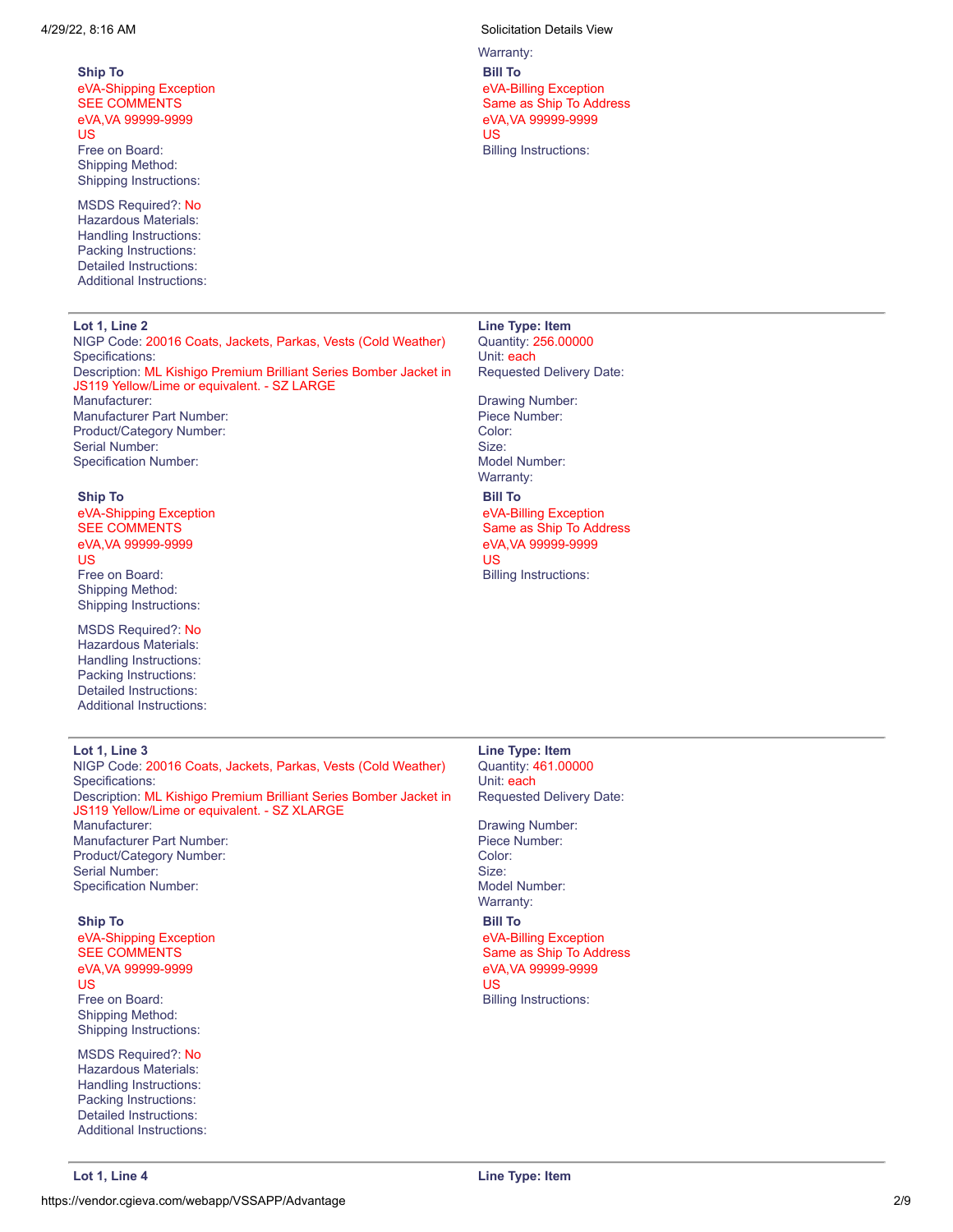**Ship To** eVA-Shipping Exception SEE COMMENTS eVA,VA 99999-9999 US Free on Board: Shipping Method: Shipping Instructions:

MSDS Required?: No Hazardous Materials: Handling Instructions: Packing Instructions: Detailed Instructions: Additional Instructions:

#### **Lot 1, Line 2 Line Type: Item**

NIGP Code: 20016 Coats, Jackets, Parkas, Vests (Cold Weather) Quantity: 256.00000 Specifications: **We are all that the set of the set of the set of the set of the set of the set of the set of the set of the set of the set of the set of the set of the set of the set of the set of the set of the set of th** 

Description: ML Kishigo Premium Brilliant Series Bomber Jacket in JS119 Yellow/Lime or equivalent. - SZ LARGE Manufacturer: **Drawing Number: Drawing Number: Drawing Number:** 

Manufacturer Part Number: **Piece Number:** Piece Number: Product/Category Number: Color: Color: Serial Number: Size: Size: Size: Size: Size: Size: Size: Size: Size: Size: Size: Size: Size: Size: Size: Size: Size: Size: Size: Size: Size: Size: Size: Size: Size: Size: Size: Size: Size: Size: Size: Size: Size: Size: Siz Specification Number: Model Number: Model Number:

#### **Ship To**

eVA-Shipping Exception SEE COMMENTS eVA,VA 99999-9999 US Free on Board: Shipping Method:

Shipping Instructions: MSDS Required?: No Hazardous Materials:

Handling Instructions: Packing Instructions: Detailed Instructions: Additional Instructions:

4/29/22, 8:16 AM Solicitation Details View

Warranty: **Bill To** eVA-Billing Exception Same as Ship To Address eVA,VA 99999-9999 US Billing Instructions:

Requested Delivery Date:

Warranty: **Bill To** eVA-Billing Exception Same as Ship To Address eVA,VA 99999-9999 US Billing Instructions:

NIGP Code: 20016 Coats, Jackets, Parkas, Vests (Cold Weather) Quantity: 461.00000 Specifications: Unit: each Unit: each Unit: each Unit: each Unit: each Unit: each Unit: each Unit: each Unit: each Unit: each Unit: each Unit: each Unit: each Unit: each Unit: each Unit: each Unit: each Unit: each Unit: ea Description: ML Kishigo Premium Brilliant Series Bomber Jacket in JS119 Yellow/Lime or equivalent. - SZ XLARGE Manufacturer: **Drawing Number: Contracturer: Drawing Number: Drawing Number: Drawing Number:** Manufacturer Part Number: Piece Number: Product/Category Number: Color: Color: Serial Number: Size: Specification Number: Note and Specification Number: Note and Specification Number: Note and Specification Number:

#### **Ship To**

eVA-Shipping Exception SEE COMMENTS eVA,VA 99999-9999 US Free on Board: Shipping Method: Shipping Instructions:

MSDS Required?: No Hazardous Materials: Handling Instructions: Packing Instructions: Detailed Instructions: Additional Instructions:

**Lot 1, Line 3 Line Type: Item** Requested Delivery Date:

Warranty:

**Bill To** eVA-Billing Exception Same as Ship To Address eVA,VA 99999-9999 US Billing Instructions: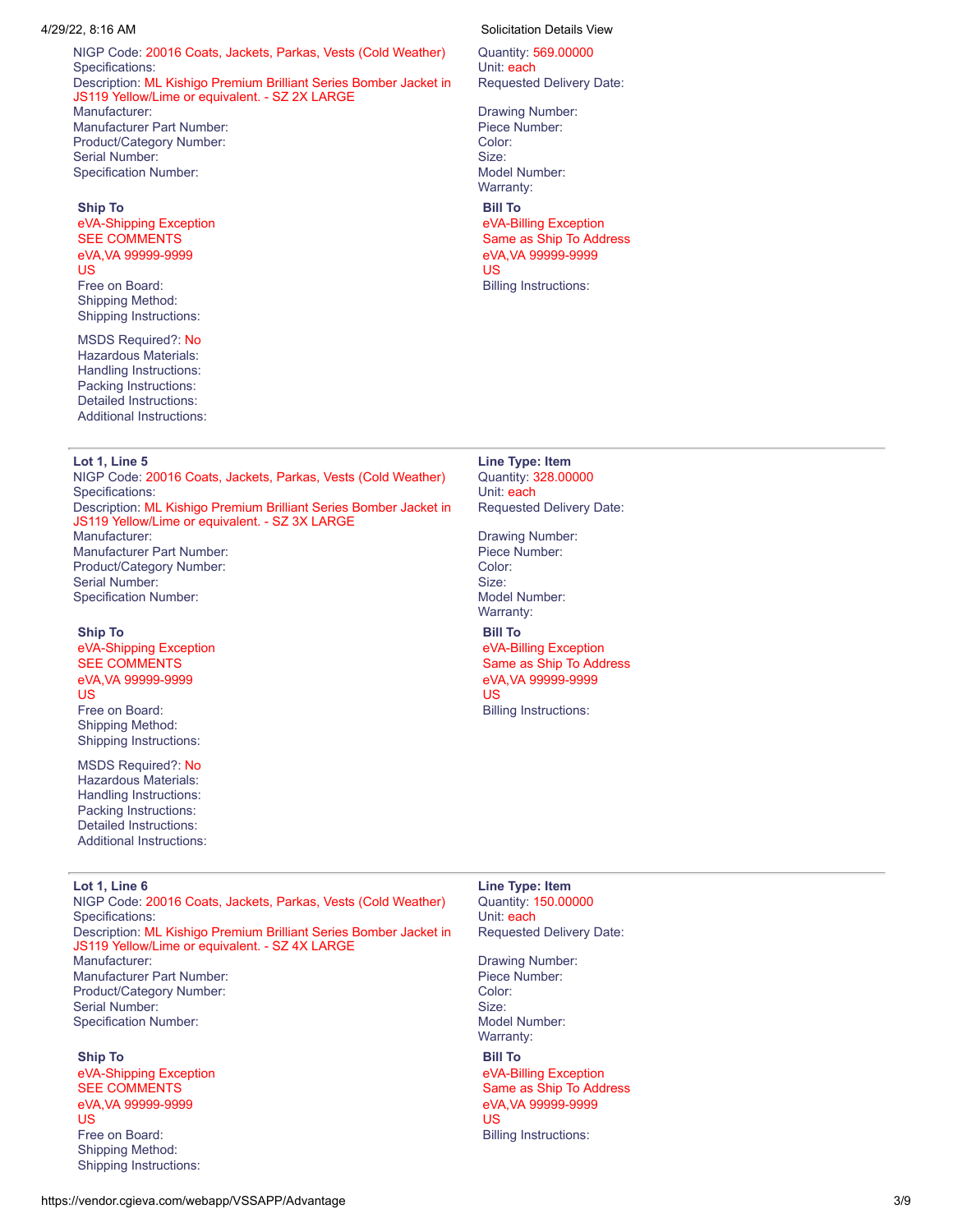NIGP Code: 20016 Coats, Jackets, Parkas, Vests (Cold Weather) Quantity: 569.00000 Specifications: Unit: each Description: ML Kishigo Premium Brilliant Series Bomber Jacket in JS119 Yellow/Lime or equivalent. - SZ 2X LARGE Manufacturer: **Drawing Number: Drawing Number: Drawing Number: Drawing Number:** Manufacturer Part Number: Piece Number: Product/Category Number: Color: Color: Serial Number: Size: Size: Size: Size: Size: Size: Size: Size: Size: Size: Size: Size: Size: Size: Size: Size: Size: Size: Size: Size: Size: Size: Size: Size: Size: Size: Size: Size: Size: Size: Size: Size: Size: Size: Siz Specification Number:  $\blacksquare$  Model Number: Model Number: Warranty:

# **Ship To**

eVA-Shipping Exception SEE COMMENTS eVA,VA 99999-9999 US Free on Board: Shipping Method: Shipping Instructions:

MSDS Required?: No Hazardous Materials: Handling Instructions: Packing Instructions: Detailed Instructions: Additional Instructions:

NIGP Code: 20016 Coats, Jackets, Parkas, Vests (Cold Weather) Quantity: 328.00000 Specifications: Unit: each Unit: each Unit: each Unit: each Unit: each Unit: each Unit: each Unit: each Unit: each Unit: each Unit: each Unit: each Unit: each Unit: each Unit: each Unit: each Unit: each Unit: each Unit: ea Description: ML Kishigo Premium Brilliant Series Bomber Jacket in JS119 Yellow/Lime or equivalent. - SZ 3X LARGE Manufacturer: **Drawing Number: Drawing Number: Drawing Number: Drawing Number:** Manufacturer Part Number: Piece Number:

Product/Category Number: Color: Color: Serial Number: Size: Size: Size: Size: Size: Size: Size: Size: Size: Size: Size: Size: Size: Size: Size: Size: Size: Size: Size: Size: Size: Size: Size: Size: Size: Size: Size: Size: Size: Size: Size: Size: Size: Size: Siz Specification Number:  $\blacksquare$  Model Number: Model Number: Warranty:

#### **Ship To**

eVA-Shipping Exception SEE COMMENTS eVA,VA 99999-9999 US Free on Board:

Shipping Method: Shipping Instructions:

MSDS Required?: No Hazardous Materials: Handling Instructions: Packing Instructions: Detailed Instructions: Additional Instructions:

NIGP Code: 20016 Coats, Jackets, Parkas, Vests (Cold Weather) Quantity: 150.00000 Specifications: Unit: each properties of the state of the state of the state of the state of the state of the state of the state of the state of the state of the state of the state of the state of the state of the state of Description: ML Kishigo Premium Brilliant Series Bomber Jacket in JS119 Yellow/Lime or equivalent. - SZ 4X LARGE Manufacturer: **Drawing Number: Contracturer: Drawing Number: Drawing Number: Drawing Number:** Manufacturer Part Number: entitled and the state of the Piece Number:<br>Product/Category Number: entitled and the Solor: entitled and the Color: Product/Category Number: Serial Number: Size: Size: Size: Size: Size: Size: Size: Size: Size: Size: Size: Size: Size: Size: Size: Size: Size: Size: Size: Size: Size: Size: Size: Size: Size: Size: Size: Size: Size: Size: Size: Size: Size: Size: Siz

#### **Ship To**

eVA-Shipping Exception SEE COMMENTS eVA,VA 99999-9999 US Free on Board: Shipping Method: Shipping Instructions:

#### 4/29/22, 8:16 AM Solicitation Details View

Requested Delivery Date:

**Bill To** eVA-Billing Exception Same as Ship To Address eVA,VA 99999-9999 US Billing Instructions:

**Lot 1, Line 5 Line Type: Item** Requested Delivery Date:

**Bill To** eVA-Billing Exception Same as Ship To Address eVA,VA 99999-9999 US Billing Instructions:

**Lot 1, Line 6 Line Type: Item** Requested Delivery Date:

Specification Number:  $\blacksquare$  Model Number: Model Number:  $\blacksquare$ 

**Bill To**

eVA-Billing Exception Same as Ship To Address eVA,VA 99999-9999 US Billing Instructions: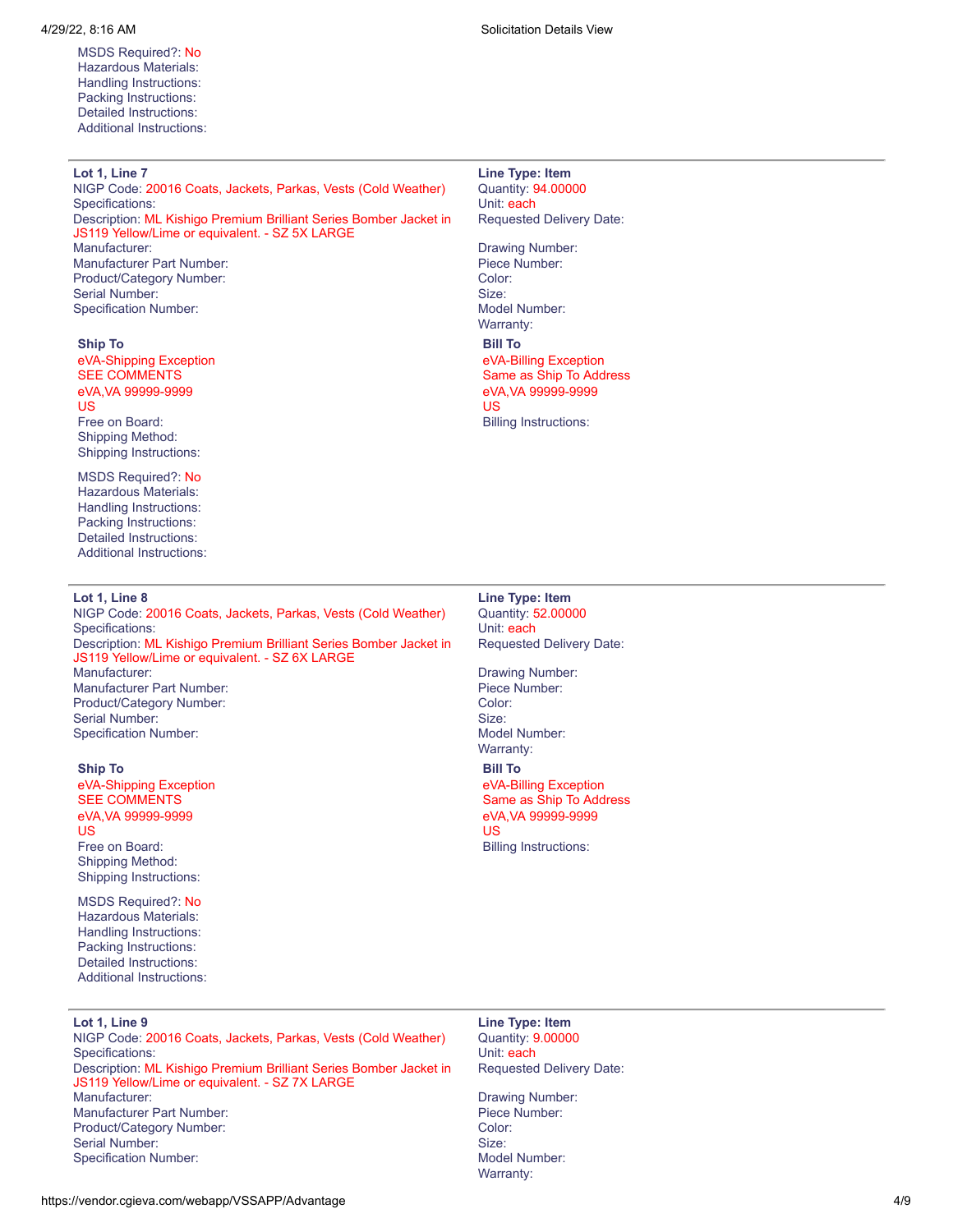MSDS Required?: No Hazardous Materials: Handling Instructions: Packing Instructions: Detailed Instructions: Additional Instructions:

# **Lot 1, Line 7 Line Type: Item**

NIGP Code: 20016 Coats, Jackets, Parkas, Vests (Cold Weather) Quantity: 94.00000 Specifications: **Unit: each** Description: ML Kishigo Premium Brilliant Series Bomber Jacket in JS119 Yellow/Lime or equivalent. - SZ 5X LARGE Manufacturer Part Number: Piece Number: Product/Category Number: Color: Color: Color: Color: Color: Color: Color: Color: Color: Color: Color: Color: Color: Color: Color: Color: Color: Color: Color: Color: Color: Color: Color: Color: Color: Color: Color: Color: C Serial Number: Size: Size: Size: Size: Size: Size: Size: Size: Size: Size: Size: Size: Size: Size: Size: Size: Size: Size: Size: Size: Size: Size: Size: Size: Size: Size: Size: Size: Size: Size: Size: Size: Size: Size: Siz Specification Number:

#### **Ship To**

eVA-Shipping Exception SEE COMMENTS eVA,VA 99999-9999 US Free on Board: Shipping Method: Shipping Instructions:

MSDS Required?: No Hazardous Materials: Handling Instructions: Packing Instructions: Detailed Instructions: Additional Instructions:

#### **Lot 1, Line 8 Line Type: Item**

NIGP Code: 20016 Coats, Jackets, Parkas, Vests (Cold Weather) Quantity: 52.00000 Specifications: Unit: each Unit: each Unit: each Unit: each Unit: each Unit: each Unit: each Unit: each Unit: each Unit: each Unit: each Unit: each Unit: each Unit: each Unit: each Unit: each Unit: each Unit: each Unit: ea Description: ML Kishigo Premium Brilliant Series Bomber Jacket in JS119 Yellow/Lime or equivalent. - SZ 6X LARGE Manufacturer: Drawing Number: Manufacturer Part Number: Product/Category Number: Color: Color: Serial Number: Size: Size: Size: Size: Size: Size: Size: Size: Size: Size: Size: Size: Size: Size: Size: Size: Size: Size: Size: Size: Size: Size: Size: Size: Size: Size: Size: Size: Size: Size: Size: Size: Size: Size: Siz Specification Number: Model Number: Model Number:

#### **Ship To**

eVA-Shipping Exception SEE COMMENTS eVA,VA 99999-9999 US Free on Board: Shipping Method: Shipping Instructions:

MSDS Required?: No Hazardous Materials: Handling Instructions: Packing Instructions: Detailed Instructions: Additional Instructions:

### **Lot 1, Line 9 Line Type: Item**

NIGP Code: 20016 Coats, Jackets, Parkas, Vests (Cold Weather) Quantity: 9.00000 Specifications: **We are all that the exception of the exception of the exception of the exception of the exception of the exception of the exception of the exception of the exception of the exception of the exception of th** Description: ML Kishigo Premium Brilliant Series Bomber Jacket in JS119 Yellow/Lime or equivalent. - SZ 7X LARGE Manufacturer: **Drawing Number: Drawing Number: Drawing Number: Drawing Number:** Manufacturer Part Number: **Piece Number:** Piece Number: Product/Category Number: Color: Color: Serial Number: Size: Size: Size: Size: Size: Size: Size: Size: Size: Size: Size: Size: Size: Size: Size: Size: Size: Size: Size: Size: Size: Size: Size: Size: Size: Size: Size: Size: Size: Size: Size: Size: Size: Size: Siz Specification Number: Note and Specification Number: Note and Specification Number:

4/29/22, 8:16 AM Solicitation Details View

# Requested Delivery Date:

Drawing Number: Warranty: **Bill To** eVA-Billing Exception Same as Ship To Address eVA,VA 99999-9999 US Billing Instructions:

Requested Delivery Date:

Warranty: **Bill To** eVA-Billing Exception Same as Ship To Address eVA,VA 99999-9999

US Billing Instructions:

Requested Delivery Date:

Warranty: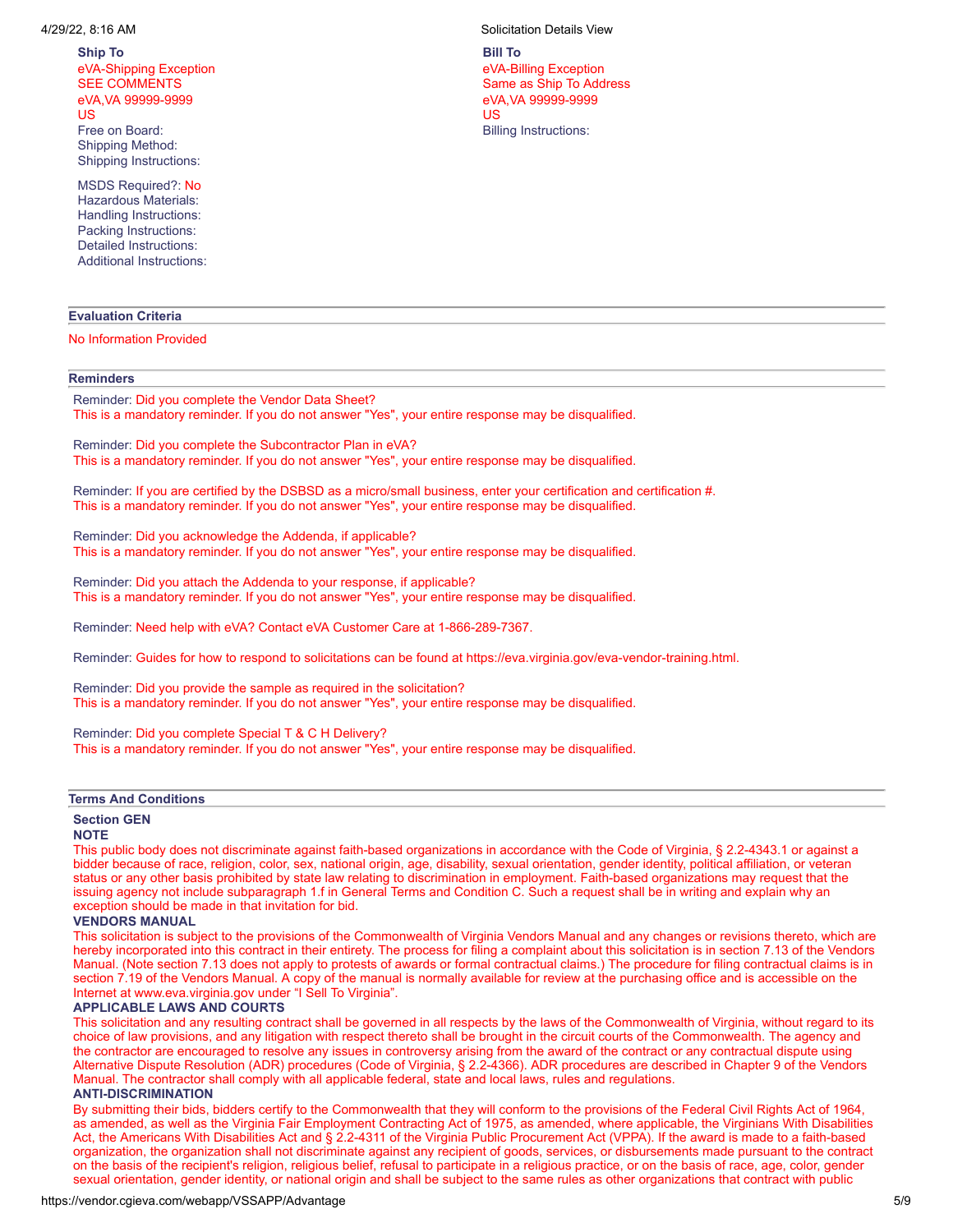**Ship To** eVA-Shipping Exception SEE COMMENTS eVA,VA 99999-9999 US Free on Board: Shipping Method: Shipping Instructions:

MSDS Required?: No Hazardous Materials: Handling Instructions: Packing Instructions: Detailed Instructions: Additional Instructions:

# **Evaluation Criteria**

#### No Information Provided

### **Reminders**

Reminder: Did you complete the Vendor Data Sheet? This is a mandatory reminder. If you do not answer "Yes", your entire response may be disqualified.

Reminder: Did you complete the Subcontractor Plan in eVA? This is a mandatory reminder. If you do not answer "Yes", your entire response may be disqualified.

Reminder: If you are certified by the DSBSD as a micro/small business, enter your certification and certification #. This is a mandatory reminder. If you do not answer "Yes", your entire response may be disqualified.

Reminder: Did you acknowledge the Addenda, if applicable? This is a mandatory reminder. If you do not answer "Yes", your entire response may be disqualified.

Reminder: Did you attach the Addenda to your response, if applicable? This is a mandatory reminder. If you do not answer "Yes", your entire response may be disqualified.

Reminder: Need help with eVA? Contact eVA Customer Care at 1-866-289-7367.

Reminder: Guides for how to respond to solicitations can be found at https://eva.virginia.gov/eva-vendor-training.html.

Reminder: Did you provide the sample as required in the solicitation? This is a mandatory reminder. If you do not answer "Yes", your entire response may be disqualified.

Reminder: Did you complete Special T & C H Delivery? This is a mandatory reminder. If you do not answer "Yes", your entire response may be disqualified.

#### **Terms And Conditions**

#### **Section GEN**

## **NOTE**

This public body does not discriminate against faith-based organizations in accordance with the Code of Virginia, § 2.2-4343.1 or against a bidder because of race, religion, color, sex, national origin, age, disability, sexual orientation, gender identity, political affiliation, or veteran status or any other basis prohibited by state law relating to discrimination in employment. Faith-based organizations may request that the issuing agency not include subparagraph 1.f in General Terms and Condition C. Such a request shall be in writing and explain why an exception should be made in that invitation for bid.

#### **VENDORS MANUAL**

This solicitation is subject to the provisions of the Commonwealth of Virginia Vendors Manual and any changes or revisions thereto, which are hereby incorporated into this contract in their entirety. The process for filing a complaint about this solicitation is in section 7.13 of the Vendors Manual. (Note section 7.13 does not apply to protests of awards or formal contractual claims.) The procedure for filing contractual claims is in section 7.19 of the Vendors Manual. A copy of the manual is normally available for review at the purchasing office and is accessible on the Internet at www.eva.virginia.gov under "I Sell To Virginia".

#### **APPLICABLE LAWS AND COURTS**

This solicitation and any resulting contract shall be governed in all respects by the laws of the Commonwealth of Virginia, without regard to its choice of law provisions, and any litigation with respect thereto shall be brought in the circuit courts of the Commonwealth. The agency and the contractor are encouraged to resolve any issues in controversy arising from the award of the contract or any contractual dispute using Alternative Dispute Resolution (ADR) procedures (Code of Virginia, § 2.2-4366). ADR procedures are described in Chapter 9 of the Vendors Manual. The contractor shall comply with all applicable federal, state and local laws, rules and regulations.

#### **ANTI-DISCRIMINATION**

By submitting their bids, bidders certify to the Commonwealth that they will conform to the provisions of the Federal Civil Rights Act of 1964, as amended, as well as the Virginia Fair Employment Contracting Act of 1975, as amended, where applicable, the Virginians With Disabilities Act, the Americans With Disabilities Act and § 2.2-4311 of the Virginia Public Procurement Act (VPPA). If the award is made to a faith-based organization, the organization shall not discriminate against any recipient of goods, services, or disbursements made pursuant to the contract on the basis of the recipient's religion, religious belief, refusal to participate in a religious practice, or on the basis of race, age, color, gender sexual orientation, gender identity, or national origin and shall be subject to the same rules as other organizations that contract with public

4/29/22, 8:16 AM Solicitation Details View

**Bill To** eVA-Billing Exception Same as Ship To Address eVA,VA 99999-9999 US Billing Instructions: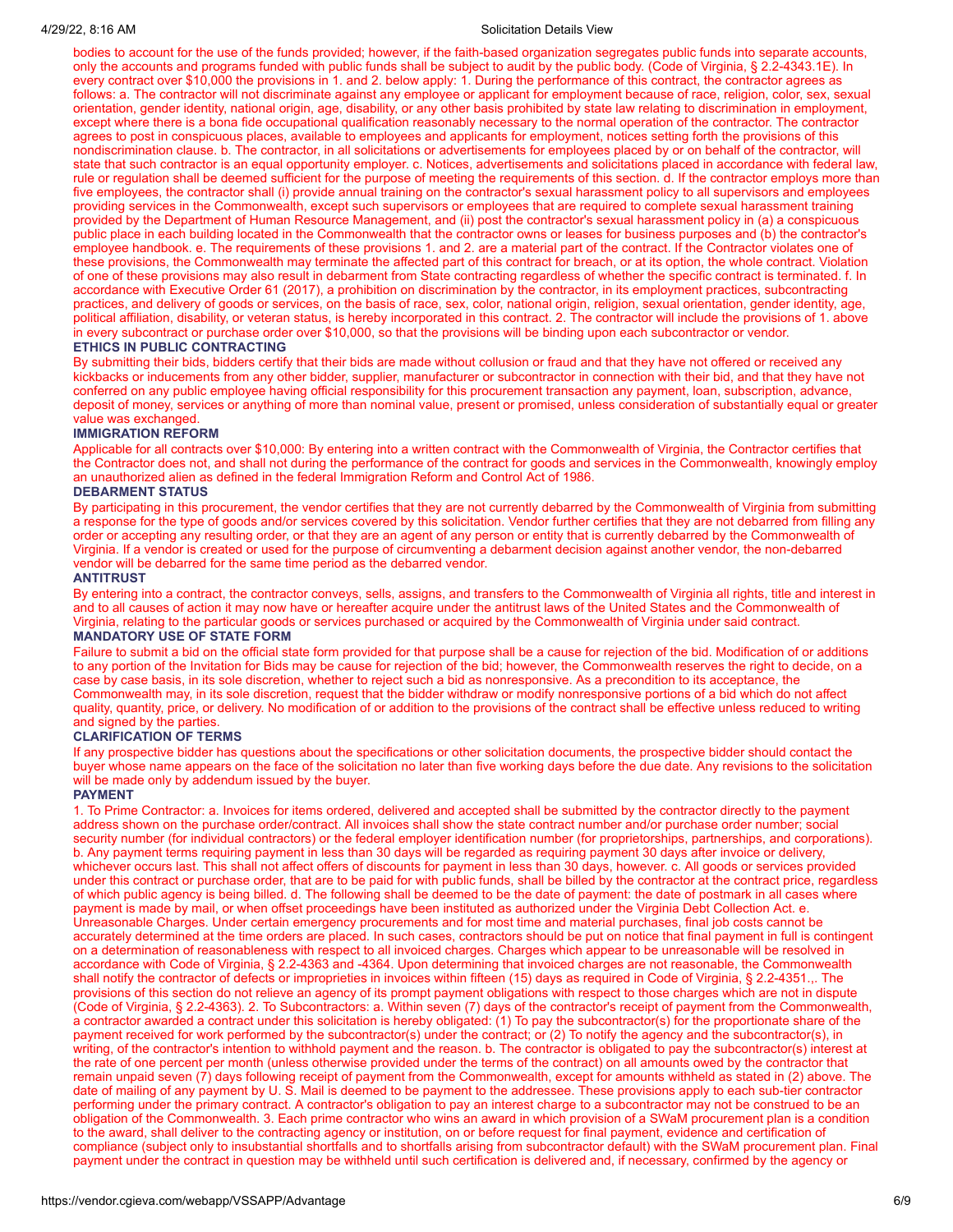#### 4/29/22, 8:16 AM Solicitation Details View

bodies to account for the use of the funds provided; however, if the faith-based organization segregates public funds into separate accounts, only the accounts and programs funded with public funds shall be subject to audit by the public body. (Code of Virginia, § 2.2-4343.1E). In every contract over \$10,000 the provisions in 1. and 2. below apply: 1. During the performance of this contract, the contractor agrees as follows: a. The contractor will not discriminate against any employee or applicant for employment because of race, religion, color, sex, sexual orientation, gender identity, national origin, age, disability, or any other basis prohibited by state law relating to discrimination in employment, except where there is a bona fide occupational qualification reasonably necessary to the normal operation of the contractor. The contractor agrees to post in conspicuous places, available to employees and applicants for employment, notices setting forth the provisions of this nondiscrimination clause. b. The contractor, in all solicitations or advertisements for employees placed by or on behalf of the contractor, will state that such contractor is an equal opportunity employer. c. Notices, advertisements and solicitations placed in accordance with federal law, rule or regulation shall be deemed sufficient for the purpose of meeting the requirements of this section. d. If the contractor employs more than five employees, the contractor shall (i) provide annual training on the contractor's sexual harassment policy to all supervisors and employees providing services in the Commonwealth, except such supervisors or employees that are required to complete sexual harassment training provided by the Department of Human Resource Management, and (ii) post the contractor's sexual harassment policy in (a) a conspicuous public place in each building located in the Commonwealth that the contractor owns or leases for business purposes and (b) the contractor's employee handbook. e. The requirements of these provisions 1. and 2. are a material part of the contract. If the Contractor violates one of these provisions, the Commonwealth may terminate the affected part of this contract for breach, or at its option, the whole contract. Violation of one of these provisions may also result in debarment from State contracting regardless of whether the specific contract is terminated. f. In accordance with Executive Order 61 (2017), a prohibition on discrimination by the contractor, in its employment practices, subcontracting practices, and delivery of goods or services, on the basis of race, sex, color, national origin, religion, sexual orientation, gender identity, age, political affiliation, disability, or veteran status, is hereby incorporated in this contract. 2. The contractor will include the provisions of 1. above in every subcontract or purchase order over \$10,000, so that the provisions will be binding upon each subcontractor or vendor.

#### **ETHICS IN PUBLIC CONTRACTING**

By submitting their bids, bidders certify that their bids are made without collusion or fraud and that they have not offered or received any kickbacks or inducements from any other bidder, supplier, manufacturer or subcontractor in connection with their bid, and that they have not conferred on any public employee having official responsibility for this procurement transaction any payment, loan, subscription, advance, deposit of money, services or anything of more than nominal value, present or promised, unless consideration of substantially equal or greater value was exchanged.

#### **IMMIGRATION REFORM**

Applicable for all contracts over \$10,000: By entering into a written contract with the Commonwealth of Virginia, the Contractor certifies that the Contractor does not, and shall not during the performance of the contract for goods and services in the Commonwealth, knowingly employ an unauthorized alien as defined in the federal Immigration Reform and Control Act of 1986.

#### **DEBARMENT STATUS**

By participating in this procurement, the vendor certifies that they are not currently debarred by the Commonwealth of Virginia from submitting a response for the type of goods and/or services covered by this solicitation. Vendor further certifies that they are not debarred from filling any order or accepting any resulting order, or that they are an agent of any person or entity that is currently debarred by the Commonwealth of Virginia. If a vendor is created or used for the purpose of circumventing a debarment decision against another vendor, the non-debarred vendor will be debarred for the same time period as the debarred vendor.

#### **ANTITRUST**

By entering into a contract, the contractor conveys, sells, assigns, and transfers to the Commonwealth of Virginia all rights, title and interest in and to all causes of action it may now have or hereafter acquire under the antitrust laws of the United States and the Commonwealth of Virginia, relating to the particular goods or services purchased or acquired by the Commonwealth of Virginia under said contract.

#### **MANDATORY USE OF STATE FORM**

Failure to submit a bid on the official state form provided for that purpose shall be a cause for rejection of the bid. Modification of or additions to any portion of the Invitation for Bids may be cause for rejection of the bid; however, the Commonwealth reserves the right to decide, on a case by case basis, in its sole discretion, whether to reject such a bid as nonresponsive. As a precondition to its acceptance, the Commonwealth may, in its sole discretion, request that the bidder withdraw or modify nonresponsive portions of a bid which do not affect quality, quantity, price, or delivery. No modification of or addition to the provisions of the contract shall be effective unless reduced to writing and signed by the parties.

#### **CLARIFICATION OF TERMS**

If any prospective bidder has questions about the specifications or other solicitation documents, the prospective bidder should contact the buyer whose name appears on the face of the solicitation no later than five working days before the due date. Any revisions to the solicitation will be made only by addendum issued by the buyer.

#### **PAYMENT**

1. To Prime Contractor: a. Invoices for items ordered, delivered and accepted shall be submitted by the contractor directly to the payment address shown on the purchase order/contract. All invoices shall show the state contract number and/or purchase order number; social security number (for individual contractors) or the federal employer identification number (for proprietorships, partnerships, and corporations). b. Any payment terms requiring payment in less than 30 days will be regarded as requiring payment 30 days after invoice or delivery, whichever occurs last. This shall not affect offers of discounts for payment in less than 30 days, however. c. All goods or services provided under this contract or purchase order, that are to be paid for with public funds, shall be billed by the contractor at the contract price, regardless of which public agency is being billed. d. The following shall be deemed to be the date of payment: the date of postmark in all cases where payment is made by mail, or when offset proceedings have been instituted as authorized under the Virginia Debt Collection Act. e. Unreasonable Charges. Under certain emergency procurements and for most time and material purchases, final job costs cannot be accurately determined at the time orders are placed. In such cases, contractors should be put on notice that final payment in full is contingent on a determination of reasonableness with respect to all invoiced charges. Charges which appear to be unreasonable will be resolved in accordance with Code of Virginia, § 2.2-4363 and -4364. Upon determining that invoiced charges are not reasonable, the Commonwealth shall notify the contractor of defects or improprieties in invoices within fifteen (15) days as required in Code of Virginia, § 2.2-4351.,. The provisions of this section do not relieve an agency of its prompt payment obligations with respect to those charges which are not in dispute (Code of Virginia, § 2.2-4363). 2. To Subcontractors: a. Within seven (7) days of the contractor's receipt of payment from the Commonwealth, a contractor awarded a contract under this solicitation is hereby obligated: (1) To pay the subcontractor(s) for the proportionate share of the payment received for work performed by the subcontractor(s) under the contract; or (2) To notify the agency and the subcontractor(s), in writing, of the contractor's intention to withhold payment and the reason. b. The contractor is obligated to pay the subcontractor(s) interest at the rate of one percent per month (unless otherwise provided under the terms of the contract) on all amounts owed by the contractor that remain unpaid seven (7) days following receipt of payment from the Commonwealth, except for amounts withheld as stated in (2) above. The date of mailing of any payment by U. S. Mail is deemed to be payment to the addressee. These provisions apply to each sub-tier contractor performing under the primary contract. A contractor's obligation to pay an interest charge to a subcontractor may not be construed to be an obligation of the Commonwealth. 3. Each prime contractor who wins an award in which provision of a SWaM procurement plan is a condition to the award, shall deliver to the contracting agency or institution, on or before request for final payment, evidence and certification of compliance (subject only to insubstantial shortfalls and to shortfalls arising from subcontractor default) with the SWaM procurement plan. Final payment under the contract in question may be withheld until such certification is delivered and, if necessary, confirmed by the agency or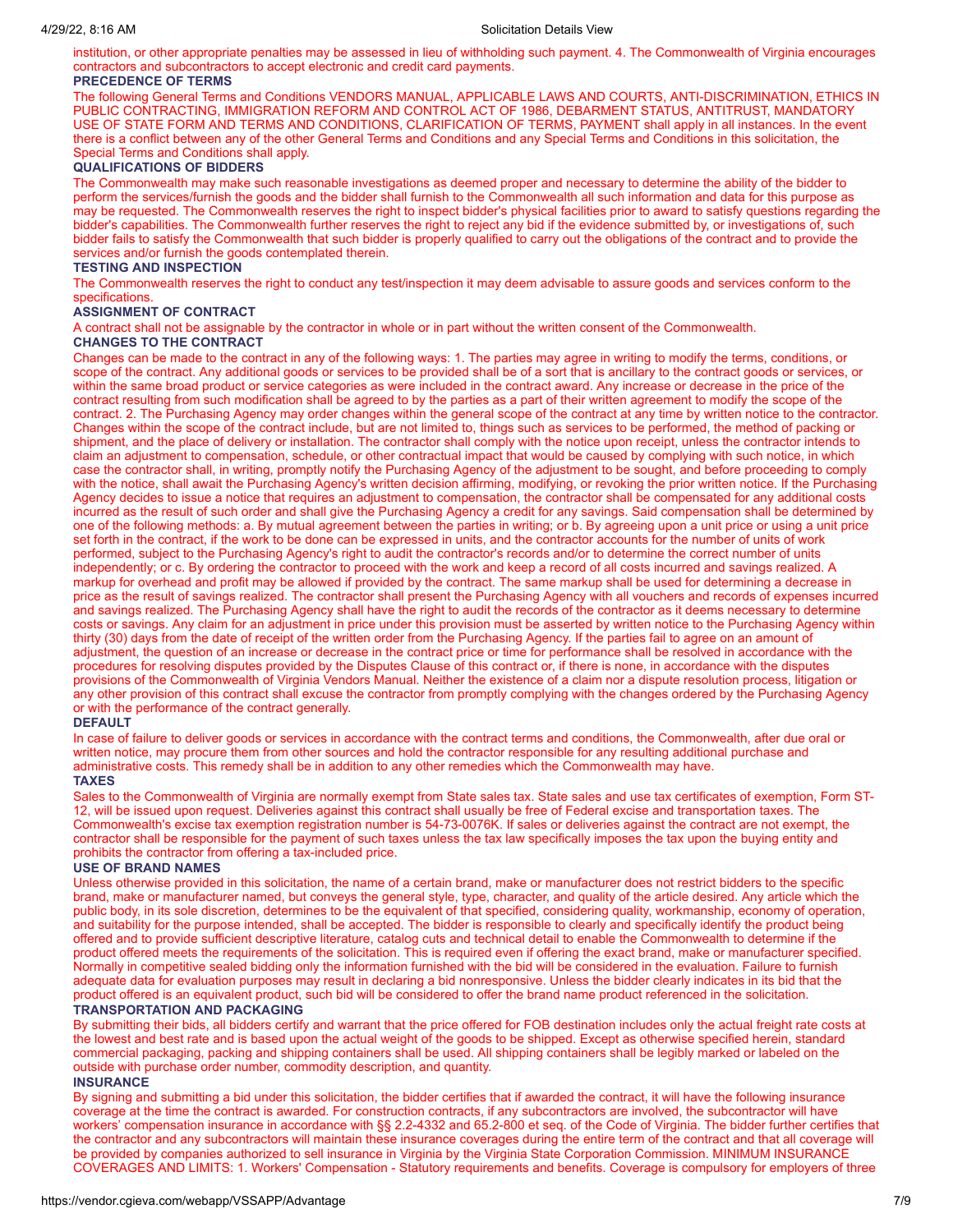institution, or other appropriate penalties may be assessed in lieu of withholding such payment. 4. The Commonwealth of Virginia encourages contractors and subcontractors to accept electronic and credit card payments.

# **PRECEDENCE OF TERMS**

The following General Terms and Conditions VENDORS MANUAL, APPLICABLE LAWS AND COURTS, ANTI-DISCRIMINATION, ETHICS IN PUBLIC CONTRACTING, IMMIGRATION REFORM AND CONTROL ACT OF 1986, DEBARMENT STATUS, ANTITRUST, MANDATORY USE OF STATE FORM AND TERMS AND CONDITIONS, CLARIFICATION OF TERMS, PAYMENT shall apply in all instances. In the event there is a conflict between any of the other General Terms and Conditions and any Special Terms and Conditions in this solicitation, the Special Terms and Conditions shall apply.

## **QUALIFICATIONS OF BIDDERS**

The Commonwealth may make such reasonable investigations as deemed proper and necessary to determine the ability of the bidder to perform the services/furnish the goods and the bidder shall furnish to the Commonwealth all such information and data for this purpose as may be requested. The Commonwealth reserves the right to inspect bidder's physical facilities prior to award to satisfy questions regarding the bidder's capabilities. The Commonwealth further reserves the right to reject any bid if the evidence submitted by, or investigations of, such bidder fails to satisfy the Commonwealth that such bidder is properly qualified to carry out the obligations of the contract and to provide the services and/or furnish the goods contemplated therein.

# **TESTING AND INSPECTION**

The Commonwealth reserves the right to conduct any test/inspection it may deem advisable to assure goods and services conform to the specifications.

#### **ASSIGNMENT OF CONTRACT**

A contract shall not be assignable by the contractor in whole or in part without the written consent of the Commonwealth.

## **CHANGES TO THE CONTRACT**

Changes can be made to the contract in any of the following ways: 1. The parties may agree in writing to modify the terms, conditions, or scope of the contract. Any additional goods or services to be provided shall be of a sort that is ancillary to the contract goods or services, or within the same broad product or service categories as were included in the contract award. Any increase or decrease in the price of the contract resulting from such modification shall be agreed to by the parties as a part of their written agreement to modify the scope of the contract. 2. The Purchasing Agency may order changes within the general scope of the contract at any time by written notice to the contractor. Changes within the scope of the contract include, but are not limited to, things such as services to be performed, the method of packing or shipment, and the place of delivery or installation. The contractor shall comply with the notice upon receipt, unless the contractor intends to claim an adjustment to compensation, schedule, or other contractual impact that would be caused by complying with such notice, in which case the contractor shall, in writing, promptly notify the Purchasing Agency of the adjustment to be sought, and before proceeding to comply with the notice, shall await the Purchasing Agency's written decision affirming, modifying, or revoking the prior written notice. If the Purchasing Agency decides to issue a notice that requires an adjustment to compensation, the contractor shall be compensated for any additional costs incurred as the result of such order and shall give the Purchasing Agency a credit for any savings. Said compensation shall be determined by one of the following methods: a. By mutual agreement between the parties in writing; or b. By agreeing upon a unit price or using a unit price set forth in the contract, if the work to be done can be expressed in units, and the contractor accounts for the number of units of work performed, subject to the Purchasing Agency's right to audit the contractor's records and/or to determine the correct number of units independently; or c. By ordering the contractor to proceed with the work and keep a record of all costs incurred and savings realized. A markup for overhead and profit may be allowed if provided by the contract. The same markup shall be used for determining a decrease in price as the result of savings realized. The contractor shall present the Purchasing Agency with all vouchers and records of expenses incurred and savings realized. The Purchasing Agency shall have the right to audit the records of the contractor as it deems necessary to determine costs or savings. Any claim for an adjustment in price under this provision must be asserted by written notice to the Purchasing Agency within thirty (30) days from the date of receipt of the written order from the Purchasing Agency. If the parties fail to agree on an amount of adjustment, the question of an increase or decrease in the contract price or time for performance shall be resolved in accordance with the procedures for resolving disputes provided by the Disputes Clause of this contract or, if there is none, in accordance with the disputes provisions of the Commonwealth of Virginia Vendors Manual. Neither the existence of a claim nor a dispute resolution process, litigation or any other provision of this contract shall excuse the contractor from promptly complying with the changes ordered by the Purchasing Agency or with the performance of the contract generally.

#### **DEFAULT**

In case of failure to deliver goods or services in accordance with the contract terms and conditions, the Commonwealth, after due oral or written notice, may procure them from other sources and hold the contractor responsible for any resulting additional purchase and administrative costs. This remedy shall be in addition to any other remedies which the Commonwealth may have.

#### **TAXES**

Sales to the Commonwealth of Virginia are normally exempt from State sales tax. State sales and use tax certificates of exemption, Form ST-12, will be issued upon request. Deliveries against this contract shall usually be free of Federal excise and transportation taxes. The Commonwealth's excise tax exemption registration number is 54-73-0076K. If sales or deliveries against the contract are not exempt, the contractor shall be responsible for the payment of such taxes unless the tax law specifically imposes the tax upon the buying entity and prohibits the contractor from offering a tax-included price.

#### **USE OF BRAND NAMES**

Unless otherwise provided in this solicitation, the name of a certain brand, make or manufacturer does not restrict bidders to the specific brand, make or manufacturer named, but conveys the general style, type, character, and quality of the article desired. Any article which the public body, in its sole discretion, determines to be the equivalent of that specified, considering quality, workmanship, economy of operation, and suitability for the purpose intended, shall be accepted. The bidder is responsible to clearly and specifically identify the product being offered and to provide sufficient descriptive literature, catalog cuts and technical detail to enable the Commonwealth to determine if the product offered meets the requirements of the solicitation. This is required even if offering the exact brand, make or manufacturer specified. Normally in competitive sealed bidding only the information furnished with the bid will be considered in the evaluation. Failure to furnish adequate data for evaluation purposes may result in declaring a bid nonresponsive. Unless the bidder clearly indicates in its bid that the product offered is an equivalent product, such bid will be considered to offer the brand name product referenced in the solicitation.

# **TRANSPORTATION AND PACKAGING**

By submitting their bids, all bidders certify and warrant that the price offered for FOB destination includes only the actual freight rate costs at the lowest and best rate and is based upon the actual weight of the goods to be shipped. Except as otherwise specified herein, standard commercial packaging, packing and shipping containers shall be used. All shipping containers shall be legibly marked or labeled on the outside with purchase order number, commodity description, and quantity.

#### **INSURANCE**

By signing and submitting a bid under this solicitation, the bidder certifies that if awarded the contract, it will have the following insurance coverage at the time the contract is awarded. For construction contracts, if any subcontractors are involved, the subcontractor will have workers' compensation insurance in accordance with §§ 2.2-4332 and 65.2-800 et seq. of the Code of Virginia. The bidder further certifies that the contractor and any subcontractors will maintain these insurance coverages during the entire term of the contract and that all coverage will be provided by companies authorized to sell insurance in Virginia by the Virginia State Corporation Commission. MINIMUM INSURANCE COVERAGES AND LIMITS: 1. Workers' Compensation - Statutory requirements and benefits. Coverage is compulsory for employers of three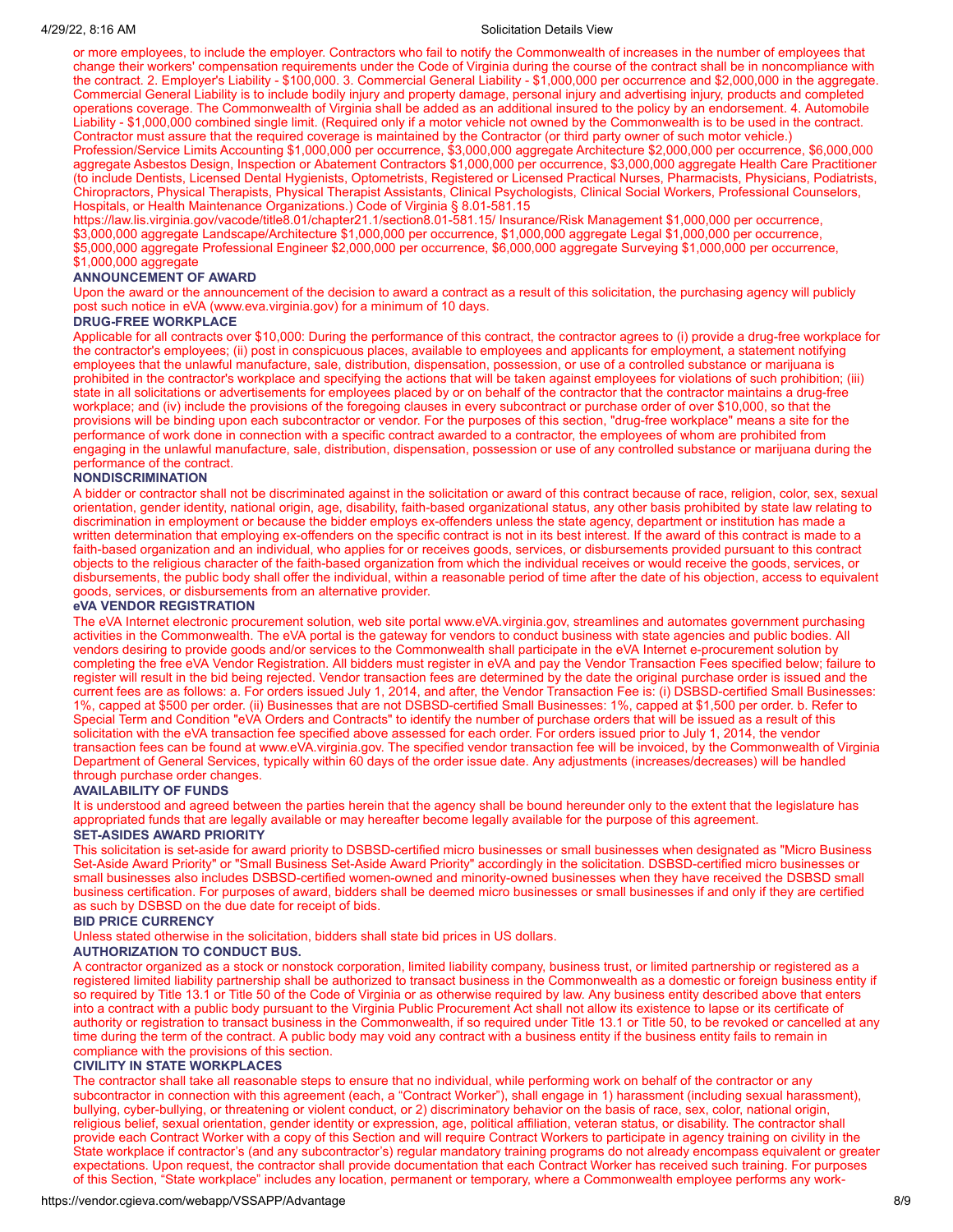#### 4/29/22, 8:16 AM Solicitation Details View

or more employees, to include the employer. Contractors who fail to notify the Commonwealth of increases in the number of employees that change their workers' compensation requirements under the Code of Virginia during the course of the contract shall be in noncompliance with the contract. 2. Employer's Liability - \$100,000. 3. Commercial General Liability - \$1,000,000 per occurrence and \$2,000,000 in the aggregate. Commercial General Liability is to include bodily injury and property damage, personal injury and advertising injury, products and completed operations coverage. The Commonwealth of Virginia shall be added as an additional insured to the policy by an endorsement. 4. Automobile Liability - \$1,000,000 combined single limit. (Required only if a motor vehicle not owned by the Commonwealth is to be used in the contract. Contractor must assure that the required coverage is maintained by the Contractor (or third party owner of such motor vehicle.) Profession/Service Limits Accounting \$1,000,000 per occurrence, \$3,000,000 aggregate Architecture \$2,000,000 per occurrence, \$6,000,000

aggregate Asbestos Design, Inspection or Abatement Contractors \$1,000,000 per occurrence, \$3,000,000 aggregate Health Care Practitioner (to include Dentists, Licensed Dental Hygienists, Optometrists, Registered or Licensed Practical Nurses, Pharmacists, Physicians, Podiatrists, Chiropractors, Physical Therapists, Physical Therapist Assistants, Clinical Psychologists, Clinical Social Workers, Professional Counselors, Hospitals, or Health Maintenance Organizations.) Code of Virginia § 8.01-581.15

https://law.lis.virginia.gov/vacode/title8.01/chapter21.1/section8.01-581.15/ Insurance/Risk Management \$1,000,000 per occurrence, \$3,000,000 aggregate Landscape/Architecture \$1,000,000 per occurrence, \$1,000,000 aggregate Legal \$1,000,000 per occurrence, \$5,000,000 aggregate Professional Engineer \$2,000,000 per occurrence, \$6,000,000 aggregate Surveying \$1,000,000 per occurrence, \$1,000,000 aggregate

#### **ANNOUNCEMENT OF AWARD**

Upon the award or the announcement of the decision to award a contract as a result of this solicitation, the purchasing agency will publicly post such notice in eVA (www.eva.virginia.gov) for a minimum of 10 days.

#### **DRUG-FREE WORKPLACE**

Applicable for all contracts over \$10,000: During the performance of this contract, the contractor agrees to (i) provide a drug-free workplace for the contractor's employees; (ii) post in conspicuous places, available to employees and applicants for employment, a statement notifying employees that the unlawful manufacture, sale, distribution, dispensation, possession, or use of a controlled substance or marijuana is prohibited in the contractor's workplace and specifying the actions that will be taken against employees for violations of such prohibition; (iii) state in all solicitations or advertisements for employees placed by or on behalf of the contractor that the contractor maintains a drug-free workplace; and (iv) include the provisions of the foregoing clauses in every subcontract or purchase order of over \$10,000, so that the provisions will be binding upon each subcontractor or vendor. For the purposes of this section, "drug-free workplace" means a site for the performance of work done in connection with a specific contract awarded to a contractor, the employees of whom are prohibited from engaging in the unlawful manufacture, sale, distribution, dispensation, possession or use of any controlled substance or marijuana during the performance of the contract.

#### **NONDISCRIMINATION**

A bidder or contractor shall not be discriminated against in the solicitation or award of this contract because of race, religion, color, sex, sexual orientation, gender identity, national origin, age, disability, faith-based organizational status, any other basis prohibited by state law relating to discrimination in employment or because the bidder employs ex-offenders unless the state agency, department or institution has made a written determination that employing ex-offenders on the specific contract is not in its best interest. If the award of this contract is made to a faith-based organization and an individual, who applies for or receives goods, services, or disbursements provided pursuant to this contract objects to the religious character of the faith-based organization from which the individual receives or would receive the goods, services, or disbursements, the public body shall offer the individual, within a reasonable period of time after the date of his objection, access to equivalent goods, services, or disbursements from an alternative provider.

#### **eVA VENDOR REGISTRATION**

The eVA Internet electronic procurement solution, web site portal www.eVA.virginia.gov, streamlines and automates government purchasing activities in the Commonwealth. The eVA portal is the gateway for vendors to conduct business with state agencies and public bodies. All vendors desiring to provide goods and/or services to the Commonwealth shall participate in the eVA Internet e-procurement solution by completing the free eVA Vendor Registration. All bidders must register in eVA and pay the Vendor Transaction Fees specified below; failure to register will result in the bid being rejected. Vendor transaction fees are determined by the date the original purchase order is issued and the current fees are as follows: a. For orders issued July 1, 2014, and after, the Vendor Transaction Fee is: (i) DSBSD-certified Small Businesses: 1%, capped at \$500 per order. (ii) Businesses that are not DSBSD-certified Small Businesses: 1%, capped at \$1,500 per order. b. Refer to Special Term and Condition "eVA Orders and Contracts" to identify the number of purchase orders that will be issued as a result of this solicitation with the eVA transaction fee specified above assessed for each order. For orders issued prior to July 1, 2014, the vendor transaction fees can be found at www.eVA.virginia.gov. The specified vendor transaction fee will be invoiced, by the Commonwealth of Virginia Department of General Services, typically within 60 days of the order issue date. Any adjustments (increases/decreases) will be handled through purchase order changes.

#### **AVAILABILITY OF FUNDS**

It is understood and agreed between the parties herein that the agency shall be bound hereunder only to the extent that the legislature has appropriated funds that are legally available or may hereafter become legally available for the purpose of this agreement.

# **SET-ASIDES AWARD PRIORITY**

This solicitation is set-aside for award priority to DSBSD-certified micro businesses or small businesses when designated as "Micro Business Set-Aside Award Priority" or "Small Business Set-Aside Award Priority" accordingly in the solicitation. DSBSD-certified micro businesses or small businesses also includes DSBSD-certified women-owned and minority-owned businesses when they have received the DSBSD small business certification. For purposes of award, bidders shall be deemed micro businesses or small businesses if and only if they are certified as such by DSBSD on the due date for receipt of bids.

#### **BID PRICE CURRENCY**

Unless stated otherwise in the solicitation, bidders shall state bid prices in US dollars.

#### **AUTHORIZATION TO CONDUCT BUS.**

A contractor organized as a stock or nonstock corporation, limited liability company, business trust, or limited partnership or registered as a registered limited liability partnership shall be authorized to transact business in the Commonwealth as a domestic or foreign business entity if so required by Title 13.1 or Title 50 of the Code of Virginia or as otherwise required by law. Any business entity described above that enters into a contract with a public body pursuant to the Virginia Public Procurement Act shall not allow its existence to lapse or its certificate of authority or registration to transact business in the Commonwealth, if so required under Title 13.1 or Title 50, to be revoked or cancelled at any time during the term of the contract. A public body may void any contract with a business entity if the business entity fails to remain in compliance with the provisions of this section.

#### **CIVILITY IN STATE WORKPLACES**

The contractor shall take all reasonable steps to ensure that no individual, while performing work on behalf of the contractor or any subcontractor in connection with this agreement (each, a "Contract Worker"), shall engage in 1) harassment (including sexual harassment), bullying, cyber-bullying, or threatening or violent conduct, or 2) discriminatory behavior on the basis of race, sex, color, national origin, religious belief, sexual orientation, gender identity or expression, age, political affiliation, veteran status, or disability. The contractor shall provide each Contract Worker with a copy of this Section and will require Contract Workers to participate in agency training on civility in the State workplace if contractor's (and any subcontractor's) regular mandatory training programs do not already encompass equivalent or greater expectations. Upon request, the contractor shall provide documentation that each Contract Worker has received such training. For purposes of this Section, "State workplace" includes any location, permanent or temporary, where a Commonwealth employee performs any work-